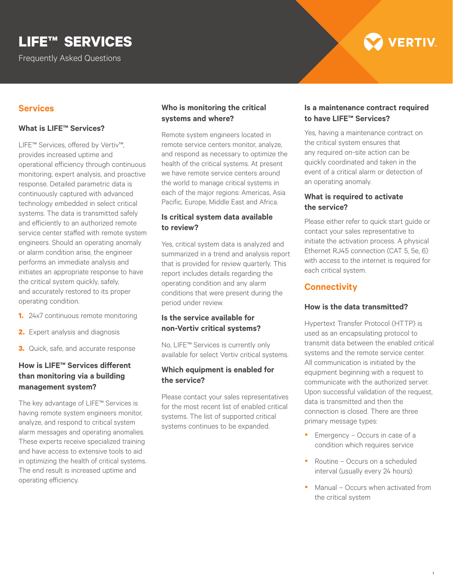# **LIFE™ SERVICES**

Frequently Asked Questions

# **VERTIV**

# **Services**

#### **What is LIFE™ Services?**

LIFE™ Services, offered by Vertiv™, provides increased uptime and operational efficiency through continuous monitoring, expert analysis, and proactive response. Detailed parametric data is continuously captured with advanced technology embedded in select critical systems. The data is transmitted safely and efficiently to an authorized remote service center staffed with remote system engineers. Should an operating anomaly or alarm condition arise, the engineer performs an immediate analysis and initiates an appropriate response to have the critical system quickly, safely, and accurately restored to its proper operating condition.

- **1.** 24x7 continuous remote monitoring
- **2.** Expert analysis and diagnosis
- **3.** Quick, safe, and accurate response

# **How is LIFE™ Services different than monitoring via a building management system?**

The key advantage of LIFE™ Services is having remote system engineers monitor, analyze, and respond to critical system alarm messages and operating anomalies. These experts receive specialized training and have access to extensive tools to aid in optimizing the health of critical systems. The end result is increased uptime and operating efficiency.

# **Who is monitoring the critical systems and where?**

Remote system engineers located in remote service centers monitor, analyze, and respond as necessary to optimize the health of the critical systems. At present we have remote service centers around the world to manage critical systems in each of the major regions: Americas, Asia Pacific, Europe, Middle East and Africa.

# **Is critical system data available to review?**

Yes, critical system data is analyzed and summarized in a trend and analysis report that is provided for review quarterly. This report includes details regarding the operating condition and any alarm conditions that were present during the period under review.

# **Is the service available for non-Vertiv critical systems?**

No, LIFE™ Services is currently only available for select Vertiv critical systems.

# **Which equipment is enabled for the service?**

Please contact your sales representatives for the most recent list of enabled critical systems. The list of supported critical systems continues to be expanded.

# **Is a maintenance contract required to have LIFE™ Services?**

Yes, having a maintenance contract on the critical system ensures that any required on-site action can be quickly coordinated and taken in the event of a critical alarm or detection of an operating anomaly.

# **What is required to activate the service?**

Please either refer to quick start guide or contact your sales representative to initiate the activation process. A physical Ethernet RJ45 connection (CAT 5, 5e, 6) with access to the internet is required for each critical system.

# **Connectivity**

# **How is the data transmitted?**

Hypertext Transfer Protocol (HTTP) is used as an encapsulating protocol to transmit data between the enabled critical systems and the remote service center. All communication is initiated by the equipment beginning with a request to communicate with the authorized server. Upon successful validation of the request, data is transmitted and then the connection is closed. There are three primary message types:

- $\bullet$  Emergency Occurs in case of a condition which requires service
- Routine Occurs on a scheduled interval (usually every 24 hours)
- Manual Occurs when activated from the critical system